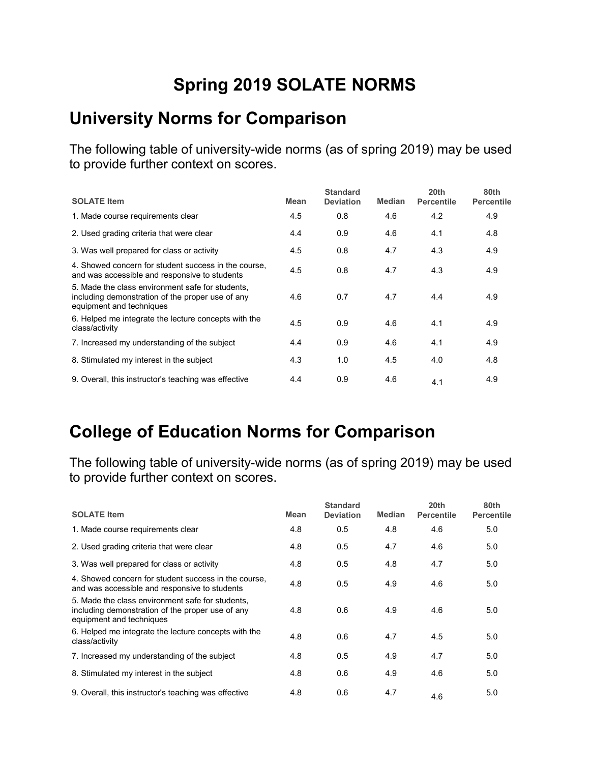## **Spring 2019 SOLATE NORMS**

#### **University Norms for Comparison**

The following table of university-wide norms (as of spring 2019) may be used to provide further context on scores.

| <b>SOLATE Item</b>                                                                                                               | <b>Mean</b> | <b>Standard</b><br><b>Deviation</b> | <b>Median</b> | 20th<br><b>Percentile</b> | 80th<br><b>Percentile</b> |
|----------------------------------------------------------------------------------------------------------------------------------|-------------|-------------------------------------|---------------|---------------------------|---------------------------|
| 1. Made course requirements clear                                                                                                | 4.5         | 0.8                                 | 4.6           | 4.2                       | 4.9                       |
| 2. Used grading criteria that were clear                                                                                         | 4.4         | 0.9                                 | 4.6           | 4.1                       | 4.8                       |
| 3. Was well prepared for class or activity                                                                                       | 4.5         | 0.8                                 | 4.7           | 4.3                       | 4.9                       |
| 4. Showed concern for student success in the course,<br>and was accessible and responsive to students                            | 4.5         | 0.8                                 | 4.7           | 4.3                       | 4.9                       |
| 5. Made the class environment safe for students,<br>including demonstration of the proper use of any<br>equipment and techniques | 4.6         | 0.7                                 | 4.7           | 4.4                       | 4.9                       |
| 6. Helped me integrate the lecture concepts with the<br>class/activity                                                           | 4.5         | 0.9                                 | 4.6           | 4.1                       | 4.9                       |
| 7. Increased my understanding of the subject                                                                                     | 4.4         | 0.9                                 | 4.6           | 4.1                       | 4.9                       |
| 8. Stimulated my interest in the subject                                                                                         | 4.3         | 1.0                                 | 4.5           | 4.0                       | 4.8                       |
| 9. Overall, this instructor's teaching was effective                                                                             | 4.4         | 0.9                                 | 4.6           | 4.1                       | 4.9                       |

#### **College of Education Norms for Comparison**

| <b>SOLATE Item</b>                                                                                                               | <b>Mean</b> | <b>Standard</b><br><b>Deviation</b> | <b>Median</b> | 20th<br><b>Percentile</b> | 80th<br><b>Percentile</b> |
|----------------------------------------------------------------------------------------------------------------------------------|-------------|-------------------------------------|---------------|---------------------------|---------------------------|
| 1. Made course requirements clear                                                                                                | 4.8         | 0.5                                 | 4.8           | 4.6                       | 5.0                       |
| 2. Used grading criteria that were clear                                                                                         | 4.8         | 0.5                                 | 4.7           | 4.6                       | 5.0                       |
| 3. Was well prepared for class or activity                                                                                       | 4.8         | 0.5                                 | 4.8           | 4.7                       | 5.0                       |
| 4. Showed concern for student success in the course.<br>and was accessible and responsive to students                            | 4.8         | 0.5                                 | 4.9           | 4.6                       | 5.0                       |
| 5. Made the class environment safe for students,<br>including demonstration of the proper use of any<br>equipment and techniques | 4.8         | 0.6                                 | 4.9           | 4.6                       | 5.0                       |
| 6. Helped me integrate the lecture concepts with the<br>class/activity                                                           | 4.8         | 0.6                                 | 4.7           | 4.5                       | 5.0                       |
| 7. Increased my understanding of the subject                                                                                     | 4.8         | 0.5                                 | 4.9           | 4.7                       | 5.0                       |
| 8. Stimulated my interest in the subject                                                                                         | 4.8         | 0.6                                 | 4.9           | 4.6                       | 5.0                       |
| 9. Overall, this instructor's teaching was effective                                                                             | 4.8         | 0.6                                 | 4.7           | 4.6                       | 5.0                       |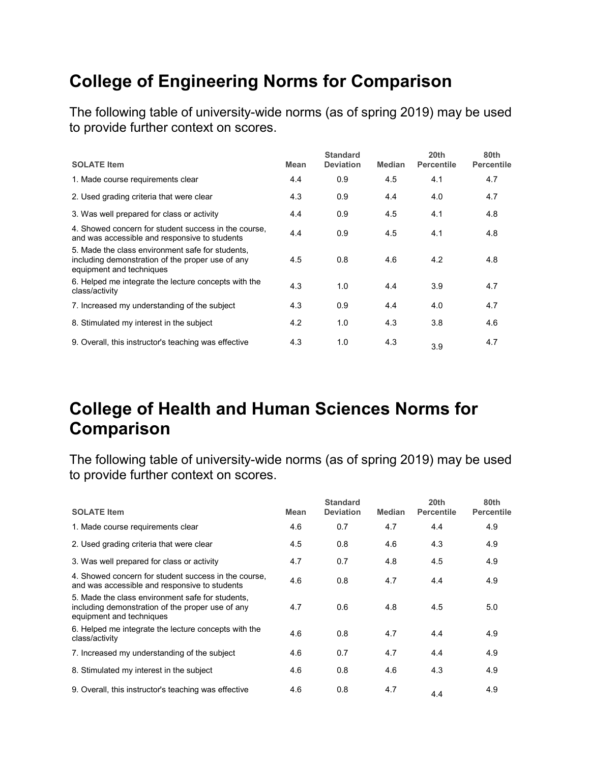### **College of Engineering Norms for Comparison**

The following table of university-wide norms (as of spring 2019) may be used to provide further context on scores.

| <b>SOLATE Item</b>                                                                                                               | Mean | <b>Standard</b><br><b>Deviation</b> | <b>Median</b> | 20 <sub>th</sub><br><b>Percentile</b> | 80th<br><b>Percentile</b> |
|----------------------------------------------------------------------------------------------------------------------------------|------|-------------------------------------|---------------|---------------------------------------|---------------------------|
| 1. Made course requirements clear                                                                                                | 4.4  | 0.9                                 | 4.5           | 4.1                                   | 4.7                       |
| 2. Used grading criteria that were clear                                                                                         | 4.3  | 0.9                                 | 4.4           | 4.0                                   | 4.7                       |
| 3. Was well prepared for class or activity                                                                                       | 4.4  | 0.9                                 | 4.5           | 4.1                                   | 4.8                       |
| 4. Showed concern for student success in the course,<br>and was accessible and responsive to students                            | 4.4  | 0.9                                 | 4.5           | 4.1                                   | 4.8                       |
| 5. Made the class environment safe for students,<br>including demonstration of the proper use of any<br>equipment and techniques | 4.5  | 0.8                                 | 4.6           | 4.2                                   | 4.8                       |
| 6. Helped me integrate the lecture concepts with the<br>class/activity                                                           | 4.3  | 1.0                                 | 4.4           | 3.9                                   | 4.7                       |
| 7. Increased my understanding of the subject                                                                                     | 4.3  | 0.9                                 | 4.4           | 4.0                                   | 4.7                       |
| 8. Stimulated my interest in the subject                                                                                         | 4.2  | 1.0                                 | 4.3           | 3.8                                   | 4.6                       |
| 9. Overall, this instructor's teaching was effective                                                                             | 4.3  | 1.0                                 | 4.3           | 3.9                                   | 4.7                       |

### **College of Health and Human Sciences Norms for Comparison**

| <b>SOLATE Item</b>                                                                                                               | <b>Mean</b> | <b>Standard</b><br><b>Deviation</b> | <b>Median</b> | 20th<br><b>Percentile</b> | 80th<br><b>Percentile</b> |
|----------------------------------------------------------------------------------------------------------------------------------|-------------|-------------------------------------|---------------|---------------------------|---------------------------|
| 1. Made course requirements clear                                                                                                | 4.6         | 0.7                                 | 4.7           | 4.4                       | 4.9                       |
| 2. Used grading criteria that were clear                                                                                         | 4.5         | 0.8                                 | 4.6           | 4.3                       | 4.9                       |
| 3. Was well prepared for class or activity                                                                                       | 4.7         | 0.7                                 | 4.8           | 4.5                       | 4.9                       |
| 4. Showed concern for student success in the course,<br>and was accessible and responsive to students                            | 4.6         | 0.8                                 | 4.7           | 4.4                       | 4.9                       |
| 5. Made the class environment safe for students,<br>including demonstration of the proper use of any<br>equipment and techniques | 4.7         | 0.6                                 | 4.8           | 4.5                       | 5.0                       |
| 6. Helped me integrate the lecture concepts with the<br>class/activity                                                           | 4.6         | 0.8                                 | 4.7           | 4.4                       | 4.9                       |
| 7. Increased my understanding of the subject                                                                                     | 4.6         | 0.7                                 | 4.7           | 4.4                       | 4.9                       |
| 8. Stimulated my interest in the subject                                                                                         | 4.6         | 0.8                                 | 4.6           | 4.3                       | 4.9                       |
| 9. Overall, this instructor's teaching was effective                                                                             | 4.6         | 0.8                                 | 4.7           | 4.4                       | 4.9                       |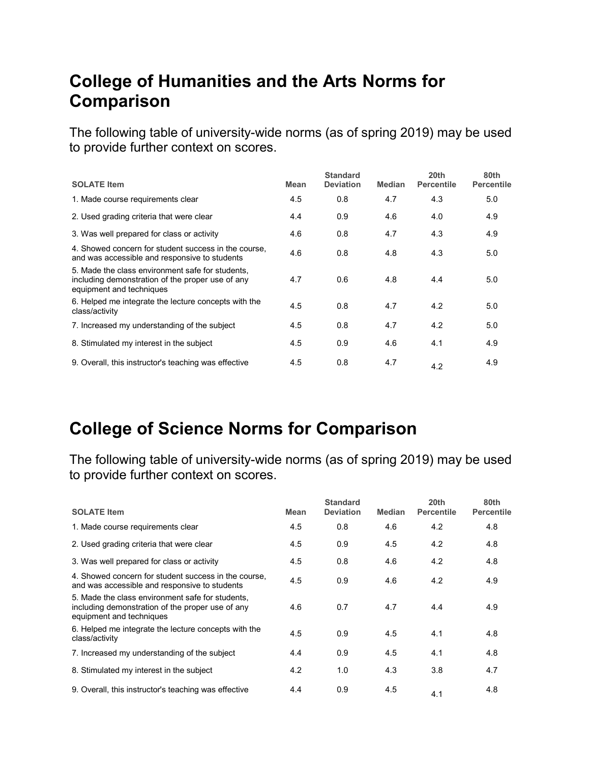### **College of Humanities and the Arts Norms for Comparison**

The following table of university-wide norms (as of spring 2019) may be used to provide further context on scores.

| <b>SOLATE Item</b>                                                                                                               | <b>Mean</b> | <b>Standard</b><br><b>Deviation</b> | <b>Median</b> | 20th<br><b>Percentile</b> | 80th<br><b>Percentile</b> |
|----------------------------------------------------------------------------------------------------------------------------------|-------------|-------------------------------------|---------------|---------------------------|---------------------------|
| 1. Made course requirements clear                                                                                                | 4.5         | 0.8                                 | 4.7           | 4.3                       | 5.0                       |
| 2. Used grading criteria that were clear                                                                                         | 4.4         | 0.9                                 | 4.6           | 4.0                       | 4.9                       |
| 3. Was well prepared for class or activity                                                                                       | 4.6         | 0.8                                 | 4.7           | 4.3                       | 4.9                       |
| 4. Showed concern for student success in the course,<br>and was accessible and responsive to students                            | 4.6         | 0.8                                 | 4.8           | 4.3                       | 5.0                       |
| 5. Made the class environment safe for students.<br>including demonstration of the proper use of any<br>equipment and techniques | 4.7         | 0.6                                 | 4.8           | 4.4                       | 5.0                       |
| 6. Helped me integrate the lecture concepts with the<br>class/activity                                                           | 4.5         | 0.8                                 | 4.7           | 4.2                       | 5.0                       |
| 7. Increased my understanding of the subject                                                                                     | 4.5         | 0.8                                 | 4.7           | 4.2                       | 5.0                       |
| 8. Stimulated my interest in the subject                                                                                         | 4.5         | 0.9                                 | 4.6           | 4.1                       | 4.9                       |
| 9. Overall, this instructor's teaching was effective                                                                             | 4.5         | 0.8                                 | 4.7           | 4.2                       | 4.9                       |

#### **College of Science Norms for Comparison**

| <b>SOLATE Item</b>                                                                                                               | Mean | <b>Standard</b><br><b>Deviation</b> | <b>Median</b> | 20th<br><b>Percentile</b> | 80th<br><b>Percentile</b> |
|----------------------------------------------------------------------------------------------------------------------------------|------|-------------------------------------|---------------|---------------------------|---------------------------|
| 1. Made course requirements clear                                                                                                | 4.5  | 0.8                                 | 4.6           | 4.2                       | 4.8                       |
| 2. Used grading criteria that were clear                                                                                         | 4.5  | 0.9                                 | 4.5           | 4.2                       | 4.8                       |
| 3. Was well prepared for class or activity                                                                                       | 4.5  | 0.8                                 | 4.6           | 4.2                       | 4.8                       |
| 4. Showed concern for student success in the course,<br>and was accessible and responsive to students                            | 4.5  | 0.9                                 | 4.6           | 4.2                       | 4.9                       |
| 5. Made the class environment safe for students,<br>including demonstration of the proper use of any<br>equipment and techniques | 4.6  | 0.7                                 | 4.7           | 4.4                       | 4.9                       |
| 6. Helped me integrate the lecture concepts with the<br>class/activity                                                           | 4.5  | 0.9                                 | 4.5           | 4.1                       | 4.8                       |
| 7. Increased my understanding of the subject                                                                                     | 4.4  | 0.9                                 | 4.5           | 4.1                       | 4.8                       |
| 8. Stimulated my interest in the subject                                                                                         | 4.2  | 1.0                                 | 4.3           | 3.8                       | 4.7                       |
| 9. Overall, this instructor's teaching was effective                                                                             | 4.4  | 0.9                                 | 4.5           | 4.1                       | 4.8                       |